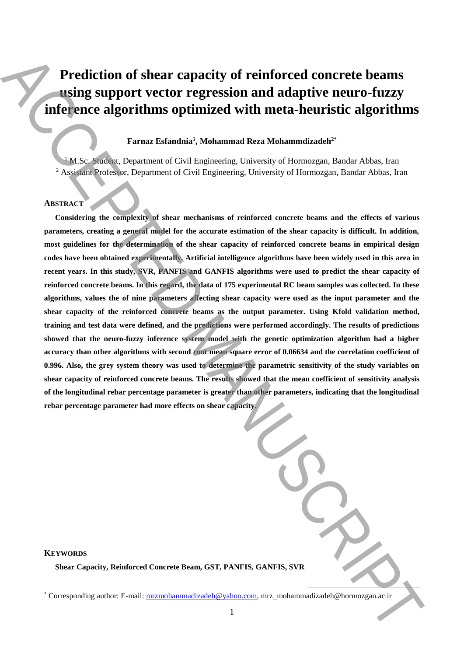# **Prediction of shear capacity of reinforced concrete beams using support vector regression and adaptive neuro-fuzzy inference algorithms optimized with meta-heuristic algorithms**

# **Farnaz Esfandnia<sup>1</sup> , Mohammad Reza Mohammdizadeh2\***

<sup>1</sup> M.Sc. Student, Department of Civil Engineering, University of Hormozgan, Bandar Abbas, Iran <sup>2</sup> Assistant Professor, Department of Civil Engineering, University of Hormozgan, Bandar Abbas, Iran

# **ABSTRACT**

**KEYWORDS**

**Considering the complexity of shear mechanisms of reinforced concrete beams and the effects of various parameters, creating a general model for the accurate estimation of the shear capacity is difficult. In addition, most guidelines for the determination of the shear capacity of reinforced concrete beams in empirical design codes have been obtained experimentally. Artificial intelligence algorithms have been widely used in this area in recent years. In this study, SVR, PANFIS and GANFIS algorithms were used to predict the shear capacity of reinforced concrete beams. In this regard, the data of 175 experimental RC beam samples was collected. In these algorithms, values the of nine parameters affecting shear capacity were used as the input parameter and the shear capacity of the reinforced concrete beams as the output parameter. Using Kfold validation method, training and test data were defined, and the predictions were performed accordingly. The results of predictions showed that the neuro-fuzzy inference system model with the genetic optimization algorithm had a higher accuracy than other algorithms with second root mean square error of 0.06634 and the correlation coefficient of 0.996. Also, the grey system theory was used to determine the parametric sensitivity of the study variables on shear capacity of reinforced concrete beams. The results showed that the mean coefficient of sensitivity analysis of the longitudinal rebar percentage parameter is greater than other parameters, indicating that the longitudinal rebar percentage parameter had more effects on shear capacity.**  Prediction of shear capacity of reinforced concrete beams,<br>
using support vector regression and adaptive neuro-fuzzy<br>
inferience algorithms optimized with meta-heuristic algorithms<br>  $\frac{M}{\sqrt{N}C}$  ( $\frac{M}{\sqrt{N}C}$  ( $\frac{M}{\$ 

**Shear Capacity, Reinforced Concrete Beam, GST, PANFIS, GANFIS, SVR**

**.**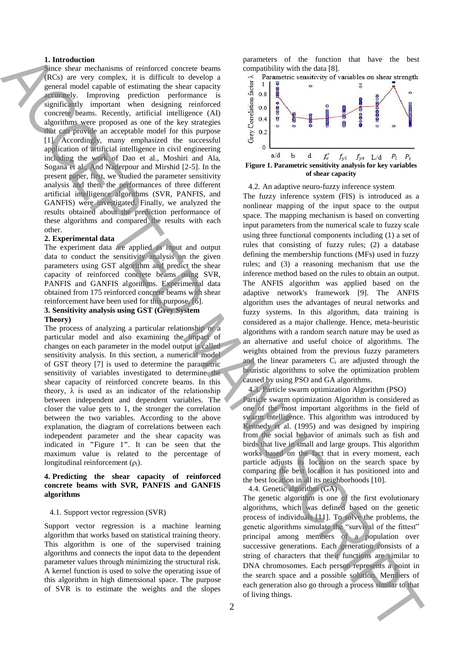## **1. Introduction**

Since shear mechanisms of reinforced concrete beams (RCs) are very complex, it is difficult to develop a general model capable of estimating the shear capacity accurately. Improving prediction performance is significantly important when designing reinforced concrete beams. Recently, artificial intelligence (AI) algorithms were proposed as one of the key strategies that can provide an acceptable model for this purpose [1]. Accordingly, many emphasized the successful application of artificial intelligence in civil engineering including the work of Dao et al., Moshiri and Ala, Sogana et al., And Naderpour and Mirshid [2-5]. In the present paper, first, we studied the parameter sensitivity analysis and then, the performances of three different artificial intelligence algorithms (SVR, PANFIS, and GANFIS) were investigated. Finally, we analyzed the results obtained about the prediction performance of these algorithms and compared the results with each other.

#### **2. Experimental data**

The experiment data are applied as input and output data to conduct the sensitivity analysis on the given parameters using GST algorithm and predict the shear capacity of reinforced concrete beams using SVR, PANFIS and GANFIS algorithms. Experimental data obtained from 175 reinforced concrete beams with shear reinforcement have been used for this purpose, [6].

# **3. Sensitivity analysis using GST (Grey System Theory)**

The process of analyzing a particular relationship or a particular model and also examining the impact of changes on each parameter in the model output is called sensitivity analysis. In this section, a numerical model of GST theory [7] is used to determine the parametric sensitivity of variables investigated to determine the shear capacity of reinforced concrete beams. In this theory,  $\lambda$  is used as an indicator of the relationship between independent and dependent variables. The closer the value gets to 1, the stronger the correlation between the two variables. According to the above explanation, the diagram of correlations between each independent parameter and the shear capacity was indicated in **"**Figure 1**"**. It can be seen that the maximum value is related to the percentage of longitudinal reinforcement  $(\rho_l)$ .

# **4. Predicting the shear capacity of reinforced concrete beams with SVR, PANFIS and GANFIS algorithms**

#### 4.1. Support vector regression (SVR)

Support vector regression is a machine learning algorithm that works based on statistical training theory. This algorithm is one of the supervised training algorithms and connects the input data to the dependent parameter values through minimizing the structural risk. A kernel function is used to solve the operating issue of this algorithm in high dimensional space. The purpose of SVR is to estimate the weights and the slopes

parameters of the function that have the best compatibility with the data [8].



#### 4.2. An adaptive neuro-fuzzy inference system

The fuzzy inference system (FIS) is introduced as a nonlinear mapping of the input space to the output space. The mapping mechanism is based on converting input parameters from the numerical scale to fuzzy scale using three functional components including (1) a set of rules that consisting of fuzzy rules; (2) a database defining the membership functions (MFs) used in fuzzy rules; and (3) a reasoning mechanism that use the inference method based on the rules to obtain an output. The ANFIS algorithm was applied based on the adaptive network's framework [9]. The ANFIS algorithm uses the advantages of neural networks and fuzzy systems. In this algorithm, data training is considered as a major challenge. Hence, meta-heuristic algorithms with a random search nature may be used as an alternative and useful choice of algorithms. The weights obtained from the previous fuzzy parameters and the linear parameters C<sup>i</sup> are adjusted through the heuristic algorithms to solve the optimization problem caused by using PSO and GA algorithms. I. Interaction (in the control of the second of the second of the second of the second of the second of the second of the second of the second of the second of the second of the second of the second of the second of the

4.3. Particle swarm optimization Algorithm (PSO)

Particle swarm optimization Algorithm is considered as one of the most important algorithms in the field of swarm intelligence. This algorithm was introduced by Kennedy et al. (1995) and was designed by inspiring from the social behavior of animals such as fish and birds that live in small and large groups. This algorithm works based on the fact that in every moment, each particle adjusts its location on the search space by comparing the best location it has positioned into and the best location in all its neighborhoods [10].

4.4. Genetic algorithm (GA)

The genetic algorithm is one of the first evolutionary algorithms, which was defined based on the genetic process of individuals [11]. To solve the problems, the genetic algorithms simulate the "survival of the fittest" principal among members of a population over successive generations. Each generation consists of a string of characters that their functions are similar to DNA chromosomes. Each person represents a point in the search space and a possible solution. Members of each generation also go through a process similar to that